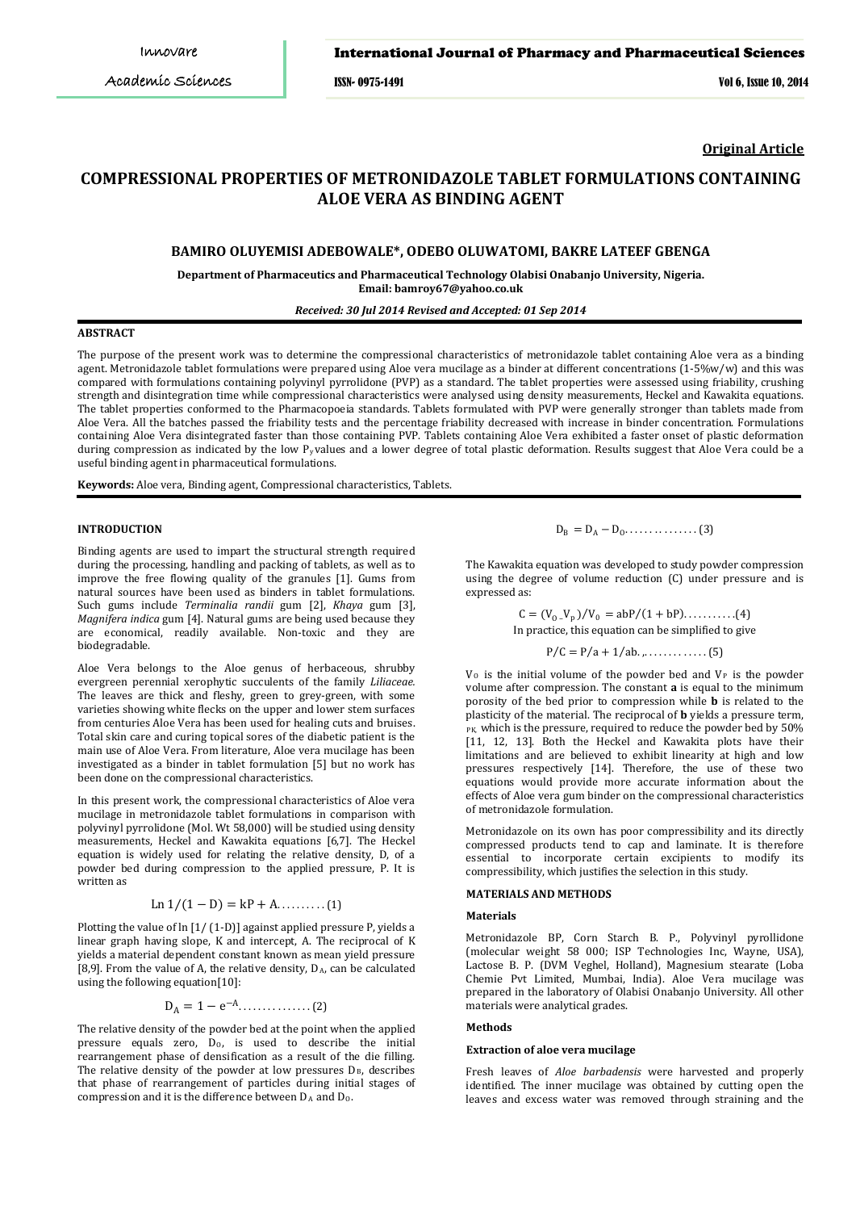ISSN- 0975-1491 Vol 6, Issue 10, 2014

**Original Article**

# **COMPRESSIONAL PROPERTIES OF METRONIDAZOLE TABLET FORMULATIONS CONTAINING ALOE VERA AS BINDING AGENT**

# **BAMIRO OLUYEMISI ADEBOWALE\*, ODEBO OLUWATOMI, BAKRE LATEEF GBENGA**

**Department of Pharmaceutics and Pharmaceutical Technology Olabisi Onabanjo University, Nigeria. Email: bamroy67@yahoo.co.uk** 

### *Received: 30 Jul 2014 Revised and Accepted: 01 Sep 2014*

# **ABSTRACT**

The purpose of the present work was to determine the compressional characteristics of metronidazole tablet containing Aloe vera as a binding agent. Metronidazole tablet formulations were prepared using Aloe vera mucilage as a binder at different concentrations (1-5%w/w) and this was compared with formulations containing polyvinyl pyrrolidone (PVP) as a standard. The tablet properties were assessed using friability, crushing strength and disintegration time while compressional characteristics were analysed using density measurements, Heckel and Kawakita equations. The tablet properties conformed to the Pharmacopoeia standards. Tablets formulated with PVP were generally stronger than tablets made from Aloe Vera. All the batches passed the friability tests and the percentage friability decreased with increase in binder concentration. Formulations containing Aloe Vera disintegrated faster than those containing PVP. Tablets containing Aloe Vera exhibited a faster onset of plastic deformation during compression as indicated by the low  $P_y$ values and a lower degree of total plastic deformation. Results suggest that Aloe Vera could be a useful binding agent in pharmaceutical formulations.

**Keywords:** Aloe vera, Binding agent, Compressional characteristics, Tablets.

# **INTRODUCTION**

Binding agents are used to impart the structural strength required during the processing, handling and packing of tablets, as well as to improve the free flowing quality of the granules [1]. Gums from natural sources have been used as binders in tablet formulations. Such gums include *Terminalia randii* gum [2], *Khaya* gum [3], *Magnifera indica* gum [4]. Natural gums are being used because they are economical, readily available. Non-toxic and they are biodegradable.

Aloe Vera belongs to the Aloe genus of herbaceous, shrubby evergreen perennial xerophytic succulents of the family *Liliaceae.*  The leaves are thick and fleshy, green to grey-green, with some varieties showing white flecks on the upper and lower stem surfaces from centuries Aloe Vera has been used for healing cuts and bruises. Total skin care and curing topical sores of the diabetic patient is the main use of Aloe Vera. From literature, Aloe vera mucilage has been investigated as a binder in tablet formulation [5] but no work has been done on the compressional characteristics.

In this present work, the compressional characteristics of Aloe vera mucilage in metronidazole tablet formulations in comparison with polyvinyl pyrrolidone (Mol. Wt 58,000) will be studied using density measurements, Heckel and Kawakita equations [6,7]. The Heckel equation is widely used for relating the relative density, D, of a powder bed during compression to the applied pressure, P. It is written as

# Ln  $1/(1 - D) = kP + A$ ..........(1)

Plotting the value of ln [1/ (1-D)] against applied pressure P, yields a linear graph having slope, K and intercept, A. The reciprocal of K yields a material dependent constant known as mean yield pressure  $[8,9]$ . From the value of A, the relative density,  $D_A$ , can be calculated using the following equation[10]:

$$
D_A = 1 - e^{-A} \dots \dots \dots \dots \dots \dots (2)
$$

The relative density of the powder bed at the point when the applied pressure equals zero,  $D_0$ , is used to describe the initial rearrangement phase of densification as a result of the die filling. The relative density of the powder at low pressures  $D_B$ , describes that phase of rearrangement of particles during initial stages of compression and it is the difference between  $D_A$  and  $D_O$ .

# $D_{\rm B} = D_{\rm A} - D_{\rm O} \dots \dots \dots \dots \dots \tag{3}$

The Kawakita equation was developed to study powder compression using the degree of volume reduction (C) under pressure and is expressed as:

$$
C = (V_0 - V_p)/V_0 = abP/(1 + bP) \dots (4)
$$
  
In practice, this equation can be simplified to give

P⁄C = P⁄a + 1⁄ab. ,. . . . . . . . . . . . . (5)

 $V_0$  is the initial volume of the powder bed and  $V_P$  is the powder volume after compression. The constant **a** is equal to the minimum porosity of the bed prior to compression while **b** is related to the plasticity of the material. The reciprocal of **b** yields a pressure term, PK, which is the pressure, required to reduce the powder bed by 50% [11, 12, 13]. Both the Heckel and Kawakita plots have their limitations and are believed to exhibit linearity at high and low pressures respectively [14]. Therefore, the use of these two equations would provide more accurate information about the effects of Aloe vera gum binder on the compressional characteristics of metronidazole formulation.

Metronidazole on its own has poor compressibility and its directly compressed products tend to cap and laminate. It is therefore essential to incorporate certain excipients to modify its compressibility, which justifies the selection in this study.

# **MATERIALS AND METHODS**

### **Materials**

Metronidazole BP, Corn Starch B. P., Polyvinyl pyrollidone (molecular weight 58 000; ISP Technologies Inc, Wayne, USA), Lactose B. P. (DVM Veghel, Holland), Magnesium stearate (Loba Chemie Pvt Limited, Mumbai, India). Aloe Vera mucilage was prepared in the laboratory of Olabisi Onabanjo University. All other materials were analytical grades.

### **Methods**

#### **Extraction of aloe vera mucilage**

Fresh leaves of *Aloe barbadensis* were harvested and properly identified. The inner mucilage was obtained by cutting open the leaves and excess water was removed through straining and the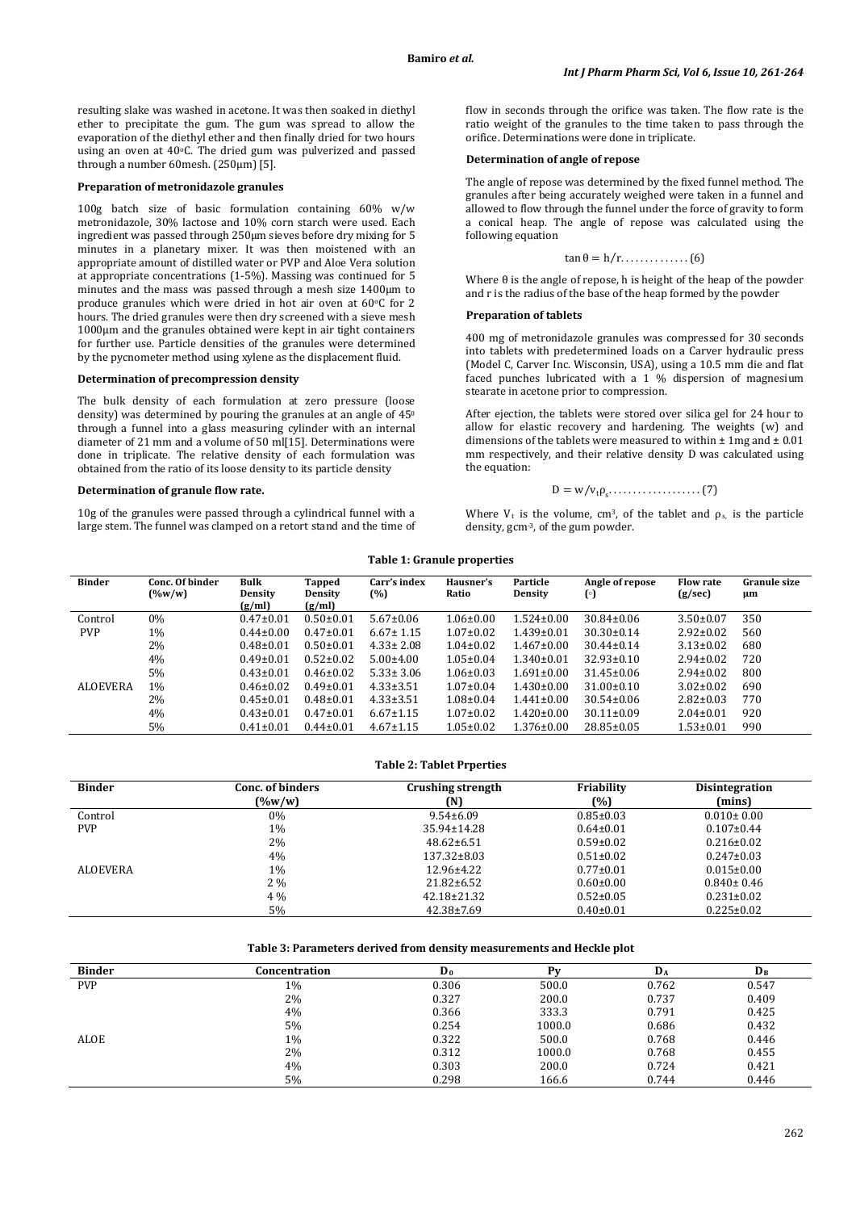resulting slake was washed in acetone. It was then soaked in diethyl ether to precipitate the gum. The gum was spread to allow the evaporation of the diethyl ether and then finally dried for two hours using an oven at 40°C. The dried gum was pulverized and passed through a number 60mesh. (250µm) [5].

### **Preparation of metronidazole granules**

100g batch size of basic formulation containing 60% w/w metronidazole, 30% lactose and 10% corn starch were used. Each ingredient was passed through 250µm sieves before dry mixing for 5 minutes in a planetary mixer. It was then moistened with an appropriate amount of distilled water or PVP and Aloe Vera solution at appropriate concentrations (1-5%). Massing was continued for 5 minutes and the mass was passed through a mesh size 1400µm to produce granules which were dried in hot air oven at 60°C for 2 hours. The dried granules were then dry screened with a sieve mesh 1000µm and the granules obtained were kept in air tight containers for further use. Particle densities of the granules were determined by the pycnometer method using xylene as the displacement fluid.

# **Determination of precompression density**

The bulk density of each formulation at zero pressure (loose density) was determined by pouring the granules at an angle of 45<sup>0</sup> through a funnel into a glass measuring cylinder with an internal diameter of 21 mm and a volume of 50 ml[15]. Determinations were done in triplicate. The relative density of each formulation was obtained from the ratio of its loose density to its particle density

#### **Determination of granule flow rate.**

10g of the granules were passed through a cylindrical funnel with a large stem. The funnel was clamped on a retort stand and the time of flow in seconds through the orifice was taken. The flow rate is the ratio weight of the granules to the time taken to pass through the orifice. Determinations were done in triplicate.

### **Determination of angle of repose**

The angle of repose was determined by the fixed funnel method. The granules after being accurately weighed were taken in a funnel and allowed to flow through the funnel under the force of gravity to form a conical heap. The angle of repose was calculated using the following equation

$$
\tan \theta = h/r.\dots\dots\dots\dots\dots(6)
$$

Where  $\theta$  is the angle of repose, h is height of the heap of the powder and r is the radius of the base of the heap formed by the powder

# **Preparation of tablets**

400 mg of metronidazole granules was compressed for 30 seconds into tablets with predetermined loads on a Carver hydraulic press (Model C, Carver Inc. Wisconsin, USA), using a 10.5 mm die and flat faced punches lubricated with a 1 % dispersion of magnesium stearate in acetone prior to compression.

After ejection, the tablets were stored over silica gel for 24 hour to allow for elastic recovery and hardening. The weights (w) and dimensions of the tablets were measured to within  $\pm 1$ mg and  $\pm 0.01$ mm respectively, and their relative density D was calculated using the equation:

$$
D = w/v_{t}\rho_{s}\dots \dots \dots \dots \dots \dots \dots (7)
$$

Where  $V_t$  is the volume, cm<sup>3</sup>, of the tablet and  $\rho_s$ , is the particle density, gcm-3, of the gum powder.

### **Table 1: Granule properties**

| <b>Binder</b>   | Conc. Of binder<br>$(\%w/w)$ | <b>Bulk</b><br>Density<br>(g/ml) | Tapped<br><b>Density</b><br>(g/ml) | Carr's index<br>(%) | Hausner's<br>Ratio | Particle<br><b>Density</b> | Angle of repose<br>$\left( \circ \right)$ | <b>Flow rate</b><br>(g/sec) | Granule size<br>μm |
|-----------------|------------------------------|----------------------------------|------------------------------------|---------------------|--------------------|----------------------------|-------------------------------------------|-----------------------------|--------------------|
| Control         | $0\%$                        | $0.47 \pm 0.01$                  | $0.50 \pm 0.01$                    | $5.67 \pm 0.06$     | $1.06 \pm 0.00$    | $1.524 \pm 0.00$           | $30.84 \pm 0.06$                          | $3.50 \pm 0.07$             | 350                |
| <b>PVP</b>      | $1\%$                        | $0.44 \pm 0.00$                  | $0.47 \pm 0.01$                    | $6.67 \pm 1.15$     | $1.07 \pm 0.02$    | $1.439 \pm 0.01$           | $30.30 \pm 0.14$                          | $2.92 \pm 0.02$             | 560                |
|                 | 2%                           | $0.48\pm0.01$                    | $0.50 \pm 0.01$                    | $4.33 \pm 2.08$     | $1.04 \pm 0.02$    | $1.467 \pm 0.00$           | $30.44 \pm 0.14$                          | $3.13 \pm 0.02$             | 680                |
|                 | 4%                           | $0.49 \pm 0.01$                  | $0.52 \pm 0.02$                    | $5.00 \pm 4.00$     | $1.05 \pm 0.04$    | $1.340\pm0.01$             | $32.93 \pm 0.10$                          | $2.94 \pm 0.02$             | 720                |
|                 | 5%                           | $0.43 \pm 0.01$                  | $0.46 \pm 0.02$                    | $5.33 \pm 3.06$     | $1.06 \pm 0.03$    | $1.691 \pm 0.00$           | $31.45 \pm 0.06$                          | $2.94 \pm 0.02$             | 800                |
| <b>ALOEVERA</b> | 1%                           | $0.46 \pm 0.02$                  | $0.49 \pm 0.01$                    | $4.33 \pm 3.51$     | $1.07 \pm 0.04$    | $1.430 \pm 0.00$           | $31.00 \pm 0.10$                          | $3.02 \pm 0.02$             | 690                |
|                 | 2%                           | $0.45 \pm 0.01$                  | $0.48 \pm 0.01$                    | $4.33 \pm 3.51$     | $1.08 \pm 0.04$    | $1.441 \pm 0.00$           | $30.54 \pm 0.06$                          | $2.82 \pm 0.03$             | 770                |
|                 | 4%                           | $0.43 \pm 0.01$                  | $0.47 \pm 0.01$                    | $6.67 \pm 1.15$     | $1.07 \pm 0.02$    | $1.420 \pm 0.00$           | $30.11 \pm 0.09$                          | $2.04 \pm 0.01$             | 920                |
|                 | 5%                           | $0.41 \pm 0.01$                  | $0.44 \pm 0.01$                    | $4.67 \pm 1.15$     | $1.05 \pm 0.02$    | $1.376 \pm 0.00$           | $28.85 \pm 0.05$                          | $1.53 \pm 0.01$             | 990                |

# **Table 2: Tablet Prperties**

| <b>Binder</b>   | Conc. of binders<br>$(\%w/w)$ | Crushing strength<br>M | Friability<br>(%) | Disintegration<br>(mins) |
|-----------------|-------------------------------|------------------------|-------------------|--------------------------|
| Control         | $0\%$                         | $9.54\pm 6.09$         | $0.85 \pm 0.03$   | $0.010 \pm 0.00$         |
| <b>PVP</b>      | $1\%$                         | 35.94±14.28            | $0.64 \pm 0.01$   | $0.107 \pm 0.44$         |
|                 | 2%                            | $48.62 \pm 6.51$       | $0.59 \pm 0.02$   | $0.216 \pm 0.02$         |
|                 | 4%                            | $137.32 \pm 8.03$      | $0.51 \pm 0.02$   | $0.247 \pm 0.03$         |
| <b>ALOEVERA</b> | $1\%$                         | 12.96±4.22             | $0.77 \pm 0.01$   | $0.015 \pm 0.00$         |
|                 | $2\%$                         | $21.82 \pm 6.52$       | $0.60 \pm 0.00$   | $0.840 \pm 0.46$         |
|                 | $4\%$                         | $42.18 \pm 21.32$      | $0.52 \pm 0.05$   | $0.231 \pm 0.02$         |
|                 | 5%                            | $42.38 \pm 7.69$       | $0.40 \pm 0.01$   | $0.225 \pm 0.02$         |

# **Table 3: Parameters derived from density measurements and Heckle plot**

| <b>Binder</b> | Concentration | D <sub>0</sub> | Dv     | D <sub>A</sub> | $\mathbf{D}_\mathbf{B}$ |
|---------------|---------------|----------------|--------|----------------|-------------------------|
| <b>PVP</b>    | 1%            | 0.306          | 500.0  | 0.762          | 0.547                   |
|               | 2%            | 0.327          | 200.0  | 0.737          | 0.409                   |
|               | 4%            | 0.366          | 333.3  | 0.791          | 0.425                   |
|               | 5%            | 0.254          | 1000.0 | 0.686          | 0.432                   |
| <b>ALOE</b>   | 1%            | 0.322          | 500.0  | 0.768          | 0.446                   |
|               | 2%            | 0.312          | 1000.0 | 0.768          | 0.455                   |
|               | 4%            | 0.303          | 200.0  | 0.724          | 0.421                   |
|               | 5%            | 0.298          | 166.6  | 0.744          | 0.446                   |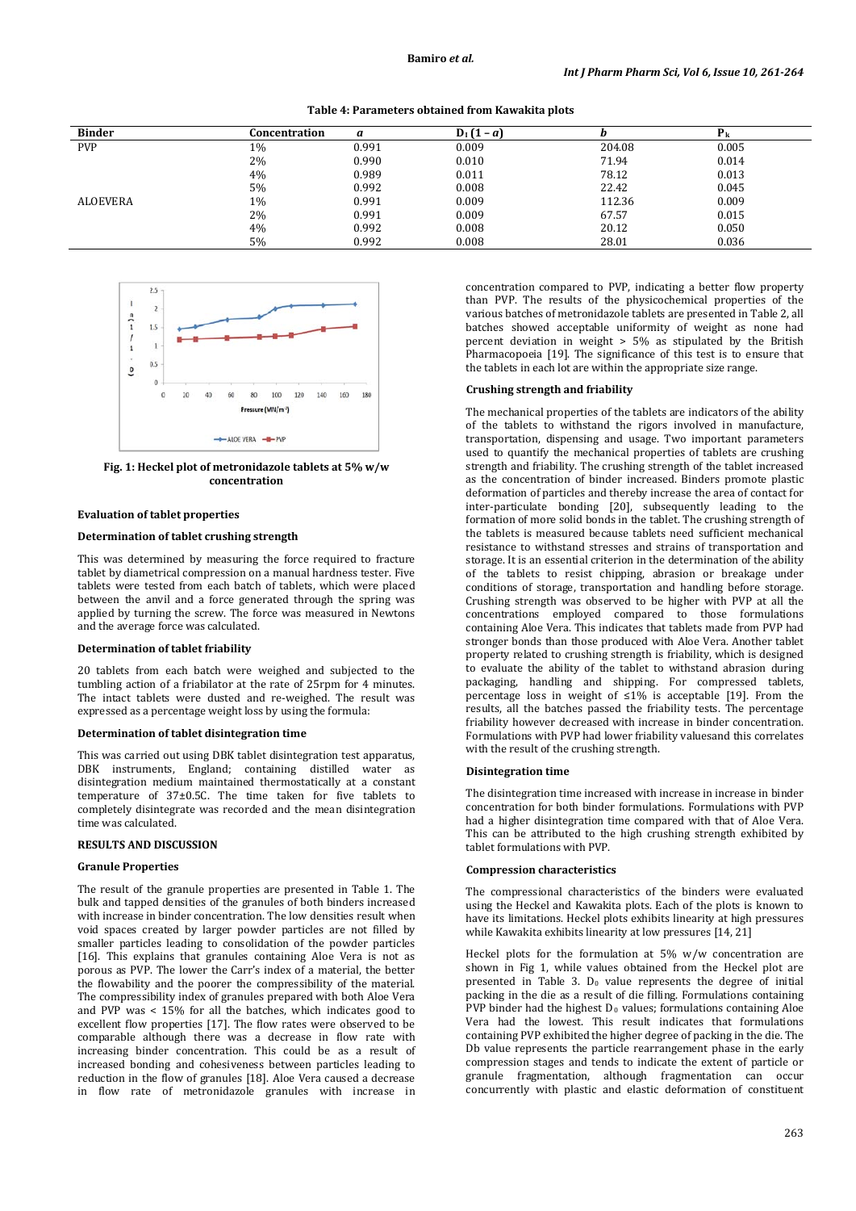| Table 4: Parameters obtained from Kawakita plots |  |  |
|--------------------------------------------------|--|--|
|--------------------------------------------------|--|--|

| <b>Binder</b> | Concentration | a     | $D_1(1-a)$ |        |       |
|---------------|---------------|-------|------------|--------|-------|
| <b>PVP</b>    | 1%            | 0.991 | 0.009      | 204.08 | 0.005 |
|               | 2%            | 0.990 | 0.010      | 71.94  | 0.014 |
|               | 4%            | 0.989 | 0.011      | 78.12  | 0.013 |
|               | 5%            | 0.992 | 0.008      | 22.42  | 0.045 |
| ALOEVERA      | 1%            | 0.991 | 0.009      | 112.36 | 0.009 |
|               | 2%            | 0.991 | 0.009      | 67.57  | 0.015 |
|               | 4%            | 0.992 | 0.008      | 20.12  | 0.050 |
|               | 5%            | 0.992 | 0.008      | 28.01  | 0.036 |



**Fig. 1: Heckel plot of metronidazole tablets at 5% w/w concentration**

# **Evaluation of tablet properties**

# **Determination of tablet crushing strength**

This was determined by measuring the force required to fracture tablet by diametrical compression on a manual hardness tester. Five tablets were tested from each batch of tablets, which were placed between the anvil and a force generated through the spring was applied by turning the screw. The force was measured in Newtons and the average force was calculated.

#### **Determination of tablet friability**

20 tablets from each batch were weighed and subjected to the tumbling action of a friabilator at the rate of 25rpm for 4 minutes. The intact tablets were dusted and re-weighed. The result was expressed as a percentage weight loss by using the formula:

## **Determination of tablet disintegration time**

This was carried out using DBK tablet disintegration test apparatus, DBK instruments, England; containing distilled water as disintegration medium maintained thermostatically at a constant temperature of 37±0.5C. The time taken for five tablets to completely disintegrate was recorded and the mean disintegration time was calculated.

# **RESULTS AND DISCUSSION**

### **Granule Properties**

The result of the granule properties are presented in Table 1. The bulk and tapped densities of the granules of both binders increased with increase in binder concentration. The low densities result when void spaces created by larger powder particles are not filled by smaller particles leading to consolidation of the powder particles [16]. This explains that granules containing Aloe Vera is not as porous as PVP. The lower the Carr's index of a material, the better the flowability and the poorer the compressibility of the material. The compressibility index of granules prepared with both Aloe Vera and PVP was < 15% for all the batches, which indicates good to excellent flow properties [17]. The flow rates were observed to be comparable although there was a decrease in flow rate with increasing binder concentration. This could be as a result of increased bonding and cohesiveness between particles leading to reduction in the flow of granules [18]. Aloe Vera caused a decrease in flow rate of metronidazole granules with increase in concentration compared to PVP, indicating a better flow property than PVP. The results of the physicochemical properties of the various batches of metronidazole tablets are presented in Table 2, all batches showed acceptable uniformity of weight as none had percent deviation in weight > 5% as stipulated by the British Pharmacopoeia [19]. The significance of this test is to ensure that the tablets in each lot are within the appropriate size range.

# **Crushing strength and friability**

The mechanical properties of the tablets are indicators of the ability of the tablets to withstand the rigors involved in manufacture, transportation, dispensing and usage. Two important parameters used to quantify the mechanical properties of tablets are crushing strength and friability. The crushing strength of the tablet increased as the concentration of binder increased. Binders promote plastic deformation of particles and thereby increase the area of contact for inter-particulate bonding [20], subsequently leading to the formation of more solid bonds in the tablet. The crushing strength of the tablets is measured because tablets need sufficient mechanical resistance to withstand stresses and strains of transportation and storage. It is an essential criterion in the determination of the ability of the tablets to resist chipping, abrasion or breakage under conditions of storage, transportation and handling before storage. Crushing strength was observed to be higher with PVP at all the concentrations employed compared to those formulations containing Aloe Vera. This indicates that tablets made from PVP had stronger bonds than those produced with Aloe Vera. Another tablet property related to crushing strength is friability, which is designed to evaluate the ability of the tablet to withstand abrasion during packaging, handling and shipping. For compressed tablets, percentage loss in weight of  $\leq 1\%$  is acceptable [19]. From the results, all the batches passed the friability tests. The percentage friability however decreased with increase in binder concentration. Formulations with PVP had lower friability valuesand this correlates with the result of the crushing strength.

# **Disintegration time**

The disintegration time increased with increase in increase in binder concentration for both binder formulations. Formulations with PVP had a higher disintegration time compared with that of Aloe Vera. This can be attributed to the high crushing strength exhibited by tablet formulations with PVP.

#### **Compression characteristics**

The compressional characteristics of the binders were evaluated using the Heckel and Kawakita plots. Each of the plots is known to have its limitations. Heckel plots exhibits linearity at high pressures while Kawakita exhibits linearity at low pressures [14, 21]

Heckel plots for the formulation at 5% w/w concentration are shown in Fig 1, while values obtained from the Heckel plot are presented in Table 3.  $D_0$  value represents the degree of initial packing in the die as a result of die filling. Formulations containing PVP binder had the highest  $D_0$  values; formulations containing Aloe Vera had the lowest. This result indicates that formulations containing PVP exhibited the higher degree of packing in the die. The Db value represents the particle rearrangement phase in the early compression stages and tends to indicate the extent of particle or granule fragmentation, although fragmentation can occur concurrently with plastic and elastic deformation of constituent